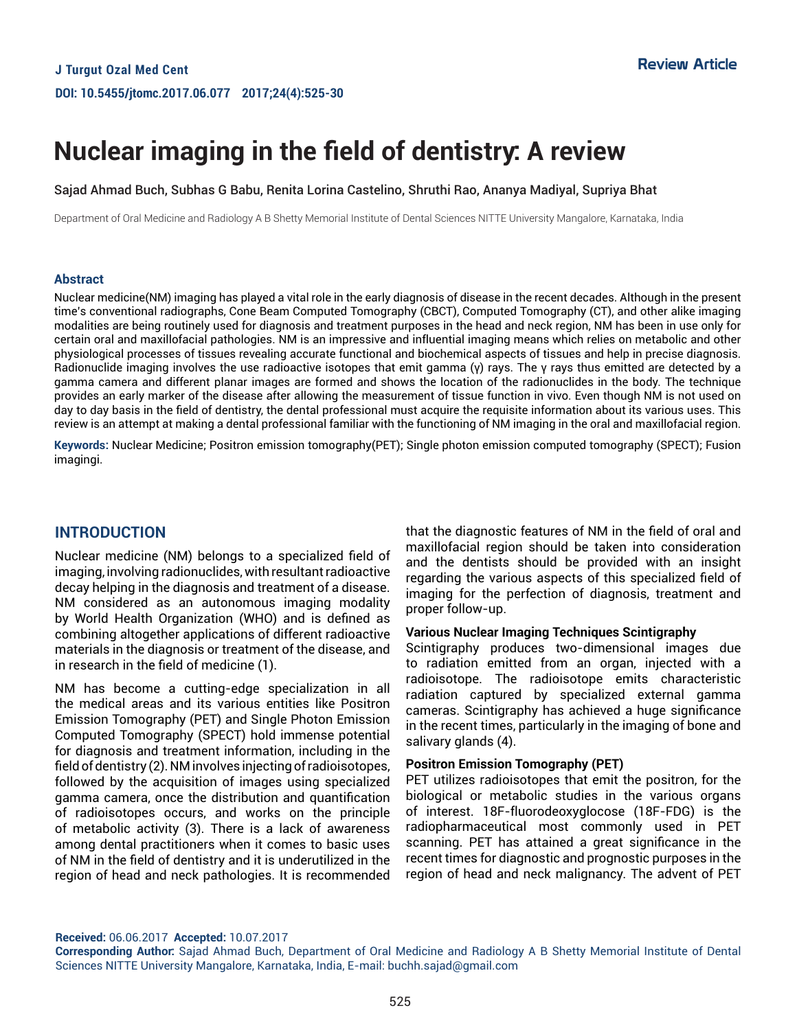# **Nuclear imaging in the field of dentistry: A review**

#### Sajad Ahmad Buch, Subhas G Babu, Renita Lorina Castelino, Shruthi Rao, Ananya Madiyal, Supriya Bhat

Department of Oral Medicine and Radiology A B Shetty Memorial Institute of Dental Sciences NITTE University Mangalore, Karnataka, India

#### **Abstract**

Nuclear medicine(NM) imaging has played a vital role in the early diagnosis of disease in the recent decades. Although in the present time's conventional radiographs, Cone Beam Computed Tomography (CBCT), Computed Tomography (CT), and other alike imaging modalities are being routinely used for diagnosis and treatment purposes in the head and neck region, NM has been in use only for certain oral and maxillofacial pathologies. NM is an impressive and influential imaging means which relies on metabolic and other physiological processes of tissues revealing accurate functional and biochemical aspects of tissues and help in precise diagnosis. Radionuclide imaging involves the use radioactive isotopes that emit gamma (γ) rays. The γ rays thus emitted are detected by a gamma camera and different planar images are formed and shows the location of the radionuclides in the body. The technique provides an early marker of the disease after allowing the measurement of tissue function in vivo. Even though NM is not used on day to day basis in the field of dentistry, the dental professional must acquire the requisite information about its various uses. This review is an attempt at making a dental professional familiar with the functioning of NM imaging in the oral and maxillofacial region.

**Keywords:** Nuclear Medicine; Positron emission tomography(PET); Single photon emission computed tomography (SPECT); Fusion imagingi.

# **INTRODUCTION**

Nuclear medicine (NM) belongs to a specialized field of imaging, involving radionuclides, with resultant radioactive decay helping in the diagnosis and treatment of a disease. NM considered as an autonomous imaging modality by World Health Organization (WHO) and is defined as combining altogether applications of different radioactive materials in the diagnosis or treatment of the disease, and in research in the field of medicine (1).

NM has become a cutting-edge specialization in all the medical areas and its various entities like Positron Emission Tomography (PET) and Single Photon Emission Computed Tomography (SPECT) hold immense potential for diagnosis and treatment information, including in the field of dentistry (2). NM involves injecting of radioisotopes, followed by the acquisition of images using specialized gamma camera, once the distribution and quantification of radioisotopes occurs, and works on the principle of metabolic activity (3). There is a lack of awareness among dental practitioners when it comes to basic uses of NM in the field of dentistry and it is underutilized in the region of head and neck pathologies. It is recommended that the diagnostic features of NM in the field of oral and maxillofacial region should be taken into consideration and the dentists should be provided with an insight regarding the various aspects of this specialized field of imaging for the perfection of diagnosis, treatment and proper follow-up.

#### **Various Nuclear Imaging Techniques Scintigraphy**

Scintigraphy produces two-dimensional images due to radiation emitted from an organ, injected with a radioisotope. The radioisotope emits characteristic radiation captured by specialized external gamma cameras. Scintigraphy has achieved a huge significance in the recent times, particularly in the imaging of bone and salivary glands (4).

#### **Positron Emission Tomography (PET)**

PET utilizes radioisotopes that emit the positron, for the biological or metabolic studies in the various organs of interest. 18F-fluorodeoxyglocose (18F-FDG) is the radiopharmaceutical most commonly used in PET scanning. PET has attained a great significance in the recent times for diagnostic and prognostic purposes in the region of head and neck malignancy. The advent of PET

**Received:** 06.06.2017 **Accepted:** 10.07.2017

**Corresponding Author:** Sajad Ahmad Buch, Department of Oral Medicine and Radiology A B Shetty Memorial Institute of Dental Sciences NITTE University Mangalore, Karnataka, India, E-mail: buchh.sajad@gmail.com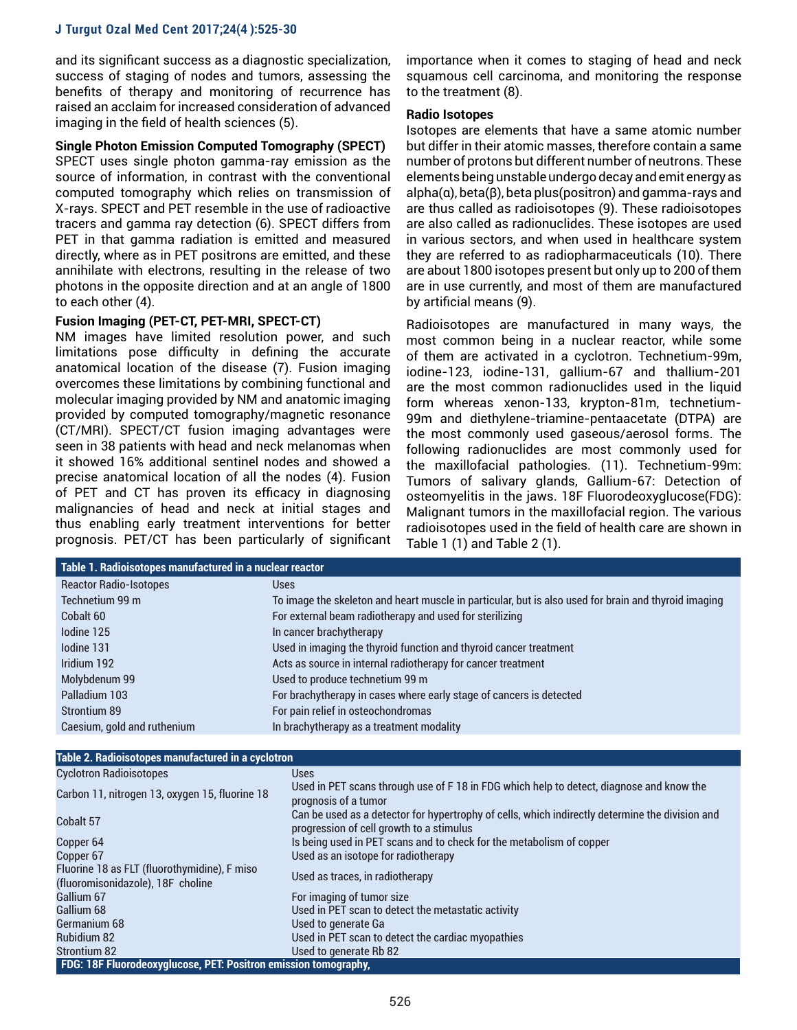and its significant success as a diagnostic specialization, success of staging of nodes and tumors, assessing the benefits of therapy and monitoring of recurrence has raised an acclaim for increased consideration of advanced imaging in the field of health sciences (5).

#### **Single Photon Emission Computed Tomography (SPECT)**

SPECT uses single photon gamma-ray emission as the source of information, in contrast with the conventional computed tomography which relies on transmission of X-rays. SPECT and PET resemble in the use of radioactive tracers and gamma ray detection (6). SPECT differs from PET in that gamma radiation is emitted and measured directly, where as in PET positrons are emitted, and these annihilate with electrons, resulting in the release of two photons in the opposite direction and at an angle of 1800 to each other (4).

# **Fusion Imaging (PET-CT, PET-MRI, SPECT-CT)**

NM images have limited resolution power, and such limitations pose difficulty in defining the accurate anatomical location of the disease (7). Fusion imaging overcomes these limitations by combining functional and molecular imaging provided by NM and anatomic imaging provided by computed tomography/magnetic resonance (CT/MRI). SPECT/CT fusion imaging advantages were seen in 38 patients with head and neck melanomas when it showed 16% additional sentinel nodes and showed a precise anatomical location of all the nodes (4). Fusion of PET and CT has proven its efficacy in diagnosing malignancies of head and neck at initial stages and thus enabling early treatment interventions for better prognosis. PET/CT has been particularly of significant importance when it comes to staging of head and neck squamous cell carcinoma, and monitoring the response to the treatment (8).

# **Radio Isotopes**

Isotopes are elements that have a same atomic number but differ in their atomic masses, therefore contain a same number of protons but different number of neutrons. These elements being unstable undergo decay and emit energy as alpha(α), beta(β), beta plus(positron) and gamma-rays and are thus called as radioisotopes (9). These radioisotopes are also called as radionuclides. These isotopes are used in various sectors, and when used in healthcare system they are referred to as radiopharmaceuticals (10). There are about 1800 isotopes present but only up to 200 of them are in use currently, and most of them are manufactured by artificial means (9).

Radioisotopes are manufactured in many ways, the most common being in a nuclear reactor, while some of them are activated in a cyclotron. Technetium-99m, iodine-123, iodine-131, gallium-67 and thallium-201 are the most common radionuclides used in the liquid form whereas xenon-133, krypton-81m, technetium-99m and diethylene-triamine-pentaacetate (DTPA) are the most commonly used gaseous/aerosol forms. The following radionuclides are most commonly used for the maxillofacial pathologies. (11). Technetium-99m: Tumors of salivary glands, Gallium-67: Detection of osteomyelitis in the jaws. 18F Fluorodeoxyglucose(FDG): Malignant tumors in the maxillofacial region. The various radioisotopes used in the field of health care are shown in Table 1 (1) and Table 2 (1).

| Table 1. Radioisotopes manufactured in a nuclear reactor |                                                                                                      |  |
|----------------------------------------------------------|------------------------------------------------------------------------------------------------------|--|
| <b>Reactor Radio-Isotopes</b>                            | <b>Uses</b>                                                                                          |  |
| Technetium 99 m                                          | To image the skeleton and heart muscle in particular, but is also used for brain and thyroid imaging |  |
| Cobalt 60                                                | For external beam radiotherapy and used for sterilizing                                              |  |
| lodine 125                                               | In cancer brachytherapy                                                                              |  |
| Iodine 131                                               | Used in imaging the thyroid function and thyroid cancer treatment                                    |  |
| Iridium 192                                              | Acts as source in internal radiotherapy for cancer treatment                                         |  |
| Molybdenum 99                                            | Used to produce technetium 99 m                                                                      |  |
| Palladium 103                                            | For brachytherapy in cases where early stage of cancers is detected                                  |  |
| Strontium 89                                             | For pain relief in osteochondromas                                                                   |  |
| Caesium, gold and ruthenium                              | In brachytherapy as a treatment modality                                                             |  |
|                                                          |                                                                                                      |  |
| Table 2. Radioisotopes manufactured in a cyclotron       |                                                                                                      |  |
| <b>Cyclotron Radioisotopes</b>                           | <b>Uses</b>                                                                                          |  |

| <b>UVULUULU NAUJUISULUPES</b>                                   | <b>USES</b>                                                                                                                                 |  |
|-----------------------------------------------------------------|---------------------------------------------------------------------------------------------------------------------------------------------|--|
| Carbon 11, nitrogen 13, oxygen 15, fluorine 18                  | Used in PET scans through use of F 18 in FDG which help to detect, diagnose and know the<br>prognosis of a tumor                            |  |
| Cobalt 57                                                       | Can be used as a detector for hypertrophy of cells, which indirectly determine the division and<br>progression of cell growth to a stimulus |  |
| Copper 64                                                       | Is being used in PET scans and to check for the metabolism of copper                                                                        |  |
| Copper 67                                                       | Used as an isotope for radiotherapy                                                                                                         |  |
| Fluorine 18 as FLT (fluorothymidine), F miso                    | Used as traces, in radiotherapy                                                                                                             |  |
| (fluoromisonidazole), 18F choline                               |                                                                                                                                             |  |
| Gallium 67                                                      | For imaging of tumor size                                                                                                                   |  |
| Gallium 68                                                      | Used in PET scan to detect the metastatic activity                                                                                          |  |
| Germanium 68                                                    | Used to generate Ga                                                                                                                         |  |
| <b>Rubidium 82</b>                                              | Used in PET scan to detect the cardiac myopathies                                                                                           |  |
| <b>Strontium 82</b>                                             | Used to generate Rb 82                                                                                                                      |  |
| FDG: 18F Fluorodeoxyglucose, PET: Positron emission tomography, |                                                                                                                                             |  |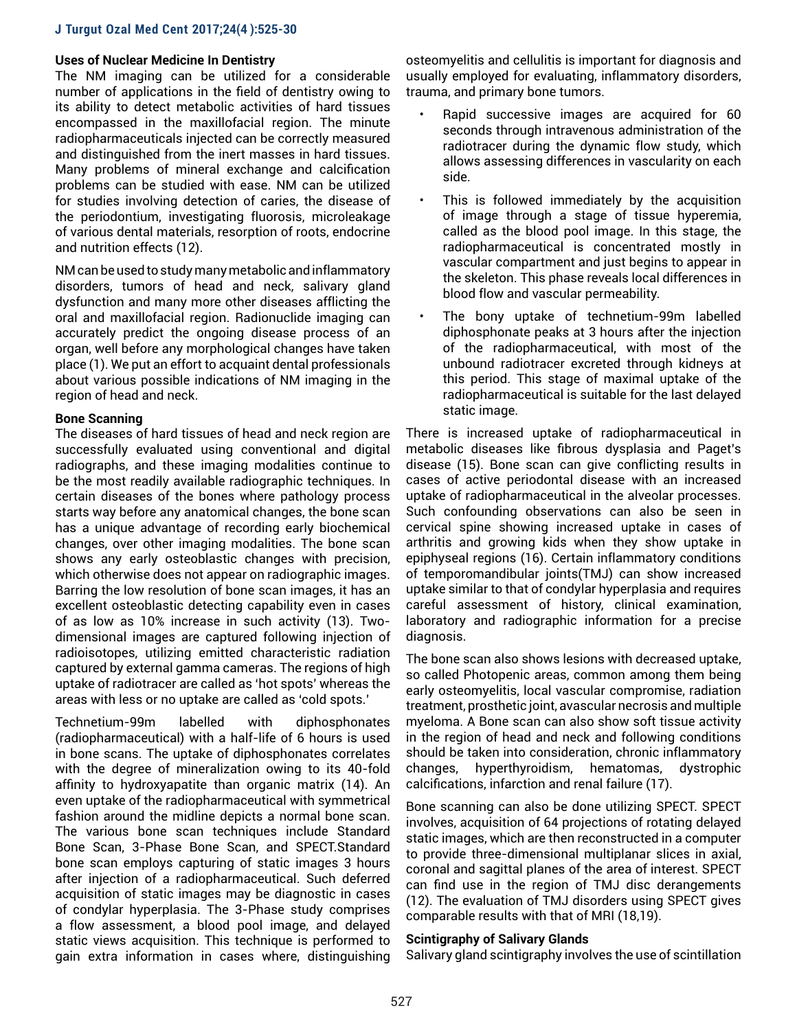# **Uses of Nuclear Medicine In Dentistry**

The NM imaging can be utilized for a considerable number of applications in the field of dentistry owing to its ability to detect metabolic activities of hard tissues encompassed in the maxillofacial region. The minute radiopharmaceuticals injected can be correctly measured and distinguished from the inert masses in hard tissues. Many problems of mineral exchange and calcification problems can be studied with ease. NM can be utilized for studies involving detection of caries, the disease of the periodontium, investigating fluorosis, microleakage of various dental materials, resorption of roots, endocrine and nutrition effects (12).

NM can be used to study many metabolic and inflammatory disorders, tumors of head and neck, salivary gland dysfunction and many more other diseases afflicting the oral and maxillofacial region. Radionuclide imaging can accurately predict the ongoing disease process of an organ, well before any morphological changes have taken place (1). We put an effort to acquaint dental professionals about various possible indications of NM imaging in the region of head and neck.

#### **Bone Scanning**

The diseases of hard tissues of head and neck region are successfully evaluated using conventional and digital radiographs, and these imaging modalities continue to be the most readily available radiographic techniques. In certain diseases of the bones where pathology process starts way before any anatomical changes, the bone scan has a unique advantage of recording early biochemical changes, over other imaging modalities. The bone scan shows any early osteoblastic changes with precision, which otherwise does not appear on radiographic images. Barring the low resolution of bone scan images, it has an excellent osteoblastic detecting capability even in cases of as low as 10% increase in such activity (13). Twodimensional images are captured following injection of radioisotopes, utilizing emitted characteristic radiation captured by external gamma cameras. The regions of high uptake of radiotracer are called as 'hot spots' whereas the areas with less or no uptake are called as 'cold spots.'

Technetium-99m labelled with diphosphonates (radiopharmaceutical) with a half-life of 6 hours is used in bone scans. The uptake of diphosphonates correlates with the degree of mineralization owing to its 40-fold affinity to hydroxyapatite than organic matrix (14). An even uptake of the radiopharmaceutical with symmetrical fashion around the midline depicts a normal bone scan. The various bone scan techniques include Standard Bone Scan, 3-Phase Bone Scan, and SPECT.Standard bone scan employs capturing of static images 3 hours after injection of a radiopharmaceutical. Such deferred acquisition of static images may be diagnostic in cases of condylar hyperplasia. The 3-Phase study comprises a flow assessment, a blood pool image, and delayed static views acquisition. This technique is performed to gain extra information in cases where, distinguishing

osteomyelitis and cellulitis is important for diagnosis and usually employed for evaluating, inflammatory disorders, trauma, and primary bone tumors.

- Rapid successive images are acquired for 60 seconds through intravenous administration of the radiotracer during the dynamic flow study, which allows assessing differences in vascularity on each side.
- This is followed immediately by the acquisition of image through a stage of tissue hyperemia, called as the blood pool image. In this stage, the radiopharmaceutical is concentrated mostly in vascular compartment and just begins to appear in the skeleton. This phase reveals local differences in blood flow and vascular permeability.
- The bony uptake of technetium-99m labelled diphosphonate peaks at 3 hours after the injection of the radiopharmaceutical, with most of the unbound radiotracer excreted through kidneys at this period. This stage of maximal uptake of the radiopharmaceutical is suitable for the last delayed static image.

There is increased uptake of radiopharmaceutical in metabolic diseases like fibrous dysplasia and Paget's disease (15). Bone scan can give conflicting results in cases of active periodontal disease with an increased uptake of radiopharmaceutical in the alveolar processes. Such confounding observations can also be seen in cervical spine showing increased uptake in cases of arthritis and growing kids when they show uptake in epiphyseal regions (16). Certain inflammatory conditions of temporomandibular joints(TMJ) can show increased uptake similar to that of condylar hyperplasia and requires careful assessment of history, clinical examination, laboratory and radiographic information for a precise diagnosis.

The bone scan also shows lesions with decreased uptake, so called Photopenic areas, common among them being early osteomyelitis, local vascular compromise, radiation treatment, prosthetic joint, avascular necrosis and multiple myeloma. A Bone scan can also show soft tissue activity in the region of head and neck and following conditions should be taken into consideration, chronic inflammatory changes, hyperthyroidism, hematomas, dystrophic calcifications, infarction and renal failure (17).

Bone scanning can also be done utilizing SPECT. SPECT involves, acquisition of 64 projections of rotating delayed static images, which are then reconstructed in a computer to provide three-dimensional multiplanar slices in axial, coronal and sagittal planes of the area of interest. SPECT can find use in the region of TMJ disc derangements (12). The evaluation of TMJ disorders using SPECT gives comparable results with that of MRI (18,19).

#### **Scintigraphy of Salivary Glands**

Salivary gland scintigraphy involves the use of scintillation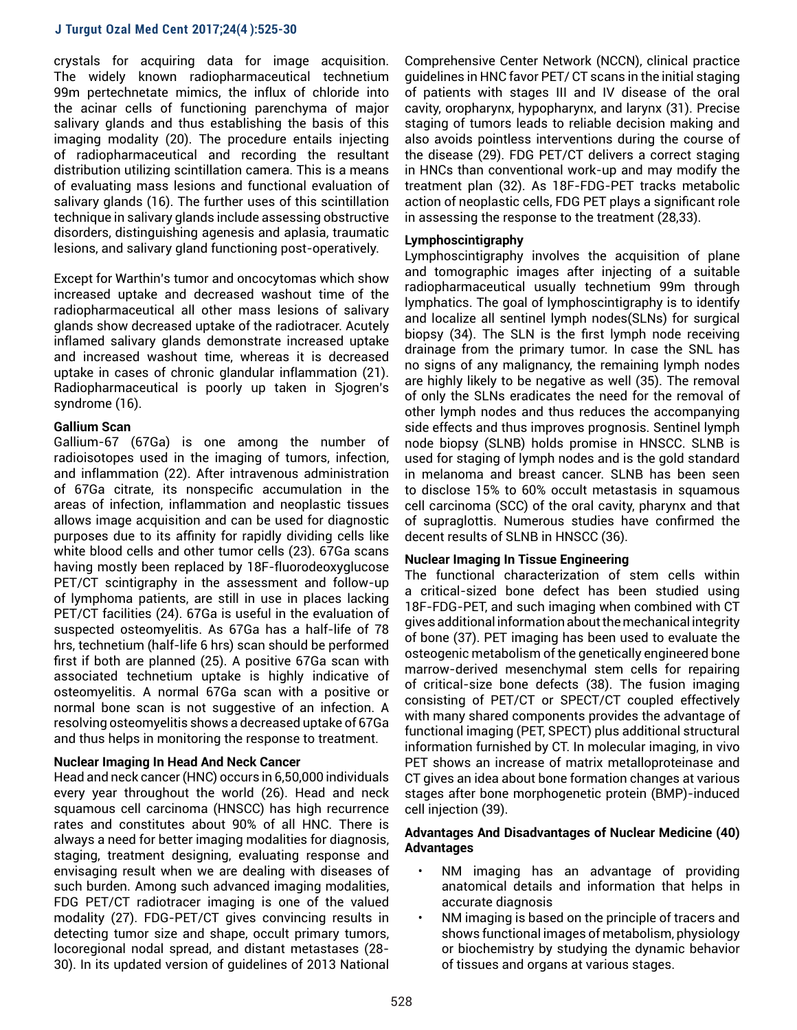crystals for acquiring data for image acquisition. The widely known radiopharmaceutical technetium 99m pertechnetate mimics, the influx of chloride into the acinar cells of functioning parenchyma of major salivary glands and thus establishing the basis of this imaging modality (20). The procedure entails injecting of radiopharmaceutical and recording the resultant distribution utilizing scintillation camera. This is a means of evaluating mass lesions and functional evaluation of salivary glands (16). The further uses of this scintillation technique in salivary glands include assessing obstructive disorders, distinguishing agenesis and aplasia, traumatic lesions, and salivary gland functioning post-operatively.

Except for Warthin's tumor and oncocytomas which show increased uptake and decreased washout time of the radiopharmaceutical all other mass lesions of salivary glands show decreased uptake of the radiotracer. Acutely inflamed salivary glands demonstrate increased uptake and increased washout time, whereas it is decreased uptake in cases of chronic glandular inflammation (21). Radiopharmaceutical is poorly up taken in Sjogren's syndrome (16).

# **Gallium Scan**

Gallium-67 (67Ga) is one among the number of radioisotopes used in the imaging of tumors, infection, and inflammation (22). After intravenous administration of 67Ga citrate, its nonspecific accumulation in the areas of infection, inflammation and neoplastic tissues allows image acquisition and can be used for diagnostic purposes due to its affinity for rapidly dividing cells like white blood cells and other tumor cells (23). 67Ga scans having mostly been replaced by 18F-fluorodeoxyglucose PET/CT scintigraphy in the assessment and follow-up of lymphoma patients, are still in use in places lacking PET/CT facilities (24). 67Ga is useful in the evaluation of suspected osteomyelitis. As 67Ga has a half-life of 78 hrs, technetium (half-life 6 hrs) scan should be performed first if both are planned (25). A positive 67Ga scan with associated technetium uptake is highly indicative of osteomyelitis. A normal 67Ga scan with a positive or normal bone scan is not suggestive of an infection. A resolving osteomyelitis shows a decreased uptake of 67Ga and thus helps in monitoring the response to treatment.

#### **Nuclear Imaging In Head And Neck Cancer**

Head and neck cancer (HNC) occurs in 6,50,000 individuals every year throughout the world (26). Head and neck squamous cell carcinoma (HNSCC) has high recurrence rates and constitutes about 90% of all HNC. There is always a need for better imaging modalities for diagnosis, staging, treatment designing, evaluating response and envisaging result when we are dealing with diseases of such burden. Among such advanced imaging modalities, FDG PET/CT radiotracer imaging is one of the valued modality (27). FDG-PET/CT gives convincing results in detecting tumor size and shape, occult primary tumors, locoregional nodal spread, and distant metastases (28- 30). In its updated version of guidelines of 2013 National

Comprehensive Center Network (NCCN), clinical practice guidelines in HNC favor PET/ CT scans in the initial staging of patients with stages III and IV disease of the oral cavity, oropharynx, hypopharynx, and larynx (31). Precise staging of tumors leads to reliable decision making and also avoids pointless interventions during the course of the disease (29). FDG PET/CT delivers a correct staging in HNCs than conventional work-up and may modify the treatment plan (32). As 18F-FDG-PET tracks metabolic action of neoplastic cells, FDG PET plays a significant role in assessing the response to the treatment (28,33).

## **Lymphoscintigraphy**

Lymphoscintigraphy involves the acquisition of plane and tomographic images after injecting of a suitable radiopharmaceutical usually technetium 99m through lymphatics. The goal of lymphoscintigraphy is to identify and localize all sentinel lymph nodes(SLNs) for surgical biopsy (34). The SLN is the first lymph node receiving drainage from the primary tumor. In case the SNL has no signs of any malignancy, the remaining lymph nodes are highly likely to be negative as well (35). The removal of only the SLNs eradicates the need for the removal of other lymph nodes and thus reduces the accompanying side effects and thus improves prognosis. Sentinel lymph node biopsy (SLNB) holds promise in HNSCC. SLNB is used for staging of lymph nodes and is the gold standard in melanoma and breast cancer. SLNB has been seen to disclose 15% to 60% occult metastasis in squamous cell carcinoma (SCC) of the oral cavity, pharynx and that of supraglottis. Numerous studies have confirmed the decent results of SLNB in HNSCC (36).

#### **Nuclear Imaging In Tissue Engineering**

The functional characterization of stem cells within a critical-sized bone defect has been studied using 18F-FDG-PET, and such imaging when combined with CT gives additional information about the mechanical integrity of bone (37). PET imaging has been used to evaluate the osteogenic metabolism of the genetically engineered bone marrow-derived mesenchymal stem cells for repairing of critical-size bone defects (38). The fusion imaging consisting of PET/CT or SPECT/CT coupled effectively with many shared components provides the advantage of functional imaging (PET, SPECT) plus additional structural information furnished by CT. In molecular imaging, in vivo PET shows an increase of matrix metalloproteinase and CT gives an idea about bone formation changes at various stages after bone morphogenetic protein (BMP)-induced cell injection (39).

# **Advantages And Disadvantages of Nuclear Medicine (40) Advantages**

- NM imaging has an advantage of providing anatomical details and information that helps in accurate diagnosis
- NM imaging is based on the principle of tracers and shows functional images of metabolism, physiology or biochemistry by studying the dynamic behavior of tissues and organs at various stages.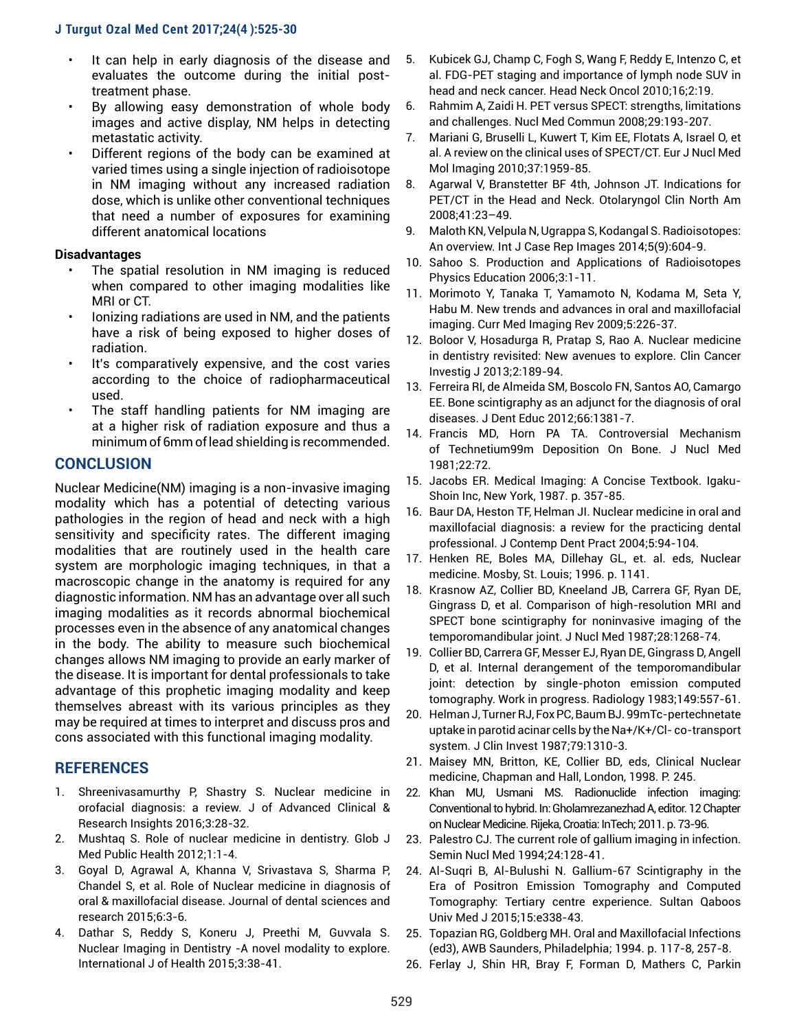- It can help in early diagnosis of the disease and evaluates the outcome during the initial posttreatment phase.
- By allowing easy demonstration of whole body images and active display, NM helps in detecting metastatic activity.
- Different regions of the body can be examined at varied times using a single injection of radioisotope in NM imaging without any increased radiation dose, which is unlike other conventional techniques that need a number of exposures for examining different anatomical locations

# **Disadvantages**

- The spatial resolution in NM imaging is reduced when compared to other imaging modalities like MRI or CT.
- Ionizing radiations are used in NM, and the patients have a risk of being exposed to higher doses of radiation.
- It's comparatively expensive, and the cost varies according to the choice of radiopharmaceutical used.
- The staff handling patients for NM imaging are at a higher risk of radiation exposure and thus a minimum of 6mm of lead shielding is recommended.

# **CONCLUSION**

Nuclear Medicine(NM) imaging is a non-invasive imaging modality which has a potential of detecting various pathologies in the region of head and neck with a high sensitivity and specificity rates. The different imaging modalities that are routinely used in the health care system are morphologic imaging techniques, in that a macroscopic change in the anatomy is required for any diagnostic information. NM has an advantage over all such imaging modalities as it records abnormal biochemical processes even in the absence of any anatomical changes in the body. The ability to measure such biochemical changes allows NM imaging to provide an early marker of the disease. It is important for dental professionals to take advantage of this prophetic imaging modality and keep themselves abreast with its various principles as they may be required at times to interpret and discuss pros and cons associated with this functional imaging modality.

# **REFERENCES**

- 1. Shreenivasamurthy P, Shastry S. Nuclear medicine in orofacial diagnosis: a review. J of Advanced Clinical & Research Insights 2016;3:28-32.
- 2. Mushtaq S. Role of nuclear medicine in dentistry. Glob J Med Public Health 2012;1:1-4.
- 3. Goyal D, Agrawal A, Khanna V, Srivastava S, Sharma P, Chandel S, et al. Role of Nuclear medicine in diagnosis of oral & maxillofacial disease. Journal of dental sciences and research 2015;6:3-6.
- 4. Dathar S, Reddy S, Koneru J, Preethi M, Guvvala S. Nuclear Imaging in Dentistry -A novel modality to explore. International J of Health 2015;3:38-41.
- 5. Kubicek GJ, Champ C, Fogh S, Wang F, Reddy E, Intenzo C, et al. FDG-PET staging and importance of lymph node SUV in head and neck cancer. Head Neck Oncol 2010;16;2:19.
- 6. Rahmim A, Zaidi H. PET versus SPECT: strengths, limitations and challenges. Nucl Med Commun 2008;29:193-207.
- 7. Mariani G, Bruselli L, Kuwert T, Kim EE, Flotats A, Israel O, et al. A review on the clinical uses of SPECT/CT. Eur J Nucl Med Mol Imaging 2010;37:1959-85.
- 8. Agarwal V, Branstetter BF 4th, Johnson JT. Indications for PET/CT in the Head and Neck. Otolaryngol Clin North Am 2008;41:23–49.
- 9. Maloth KN, Velpula N, Ugrappa S, Kodangal S. Radioisotopes: An overview. Int J Case Rep Images 2014;5(9):604-9.
- 10. Sahoo S. Production and Applications of Radioisotopes Physics Education 2006;3:1-11.
- 11. Morimoto Y, Tanaka T, Yamamoto N, Kodama M, Seta Y, Habu M. New trends and advances in oral and maxillofacial imaging. Curr Med Imaging Rev 2009;5:226-37.
- 12. Boloor V, Hosadurga R, Pratap S, Rao A. Nuclear medicine in dentistry revisited: New avenues to explore. Clin Cancer Investig J 2013;2:189-94.
- 13. Ferreira RI, de Almeida SM, Boscolo FN, Santos AO, Camargo EE. Bone scintigraphy as an adjunct for the diagnosis of oral diseases. J Dent Educ 2012;66:1381-7.
- 14. Francis MD, Horn PA TA. Controversial Mechanism of Technetium99m Deposition On Bone. J Nucl Med 1981;22:72.
- 15. Jacobs ER. Medical Imaging: A Concise Textbook. Igaku-Shoin Inc, New York, 1987. p. 357-85.
- 16. Baur DA, Heston TF, Helman JI. Nuclear medicine in oral and maxillofacial diagnosis: a review for the practicing dental professional. J Contemp Dent Pract 2004;5:94-104.
- 17. Henken RE, Boles MA, Dillehay GL, et. al. eds, Nuclear medicine. Mosby, St. Louis; 1996. p. 1141.
- 18. Krasnow AZ, Collier BD, Kneeland JB, Carrera GF, Ryan DE, Gingrass D, et al. Comparison of high-resolution MRI and SPECT bone scintigraphy for noninvasive imaging of the temporomandibular joint. J Nucl Med 1987;28:1268-74.
- 19. Collier BD, Carrera GF, Messer EJ, Ryan DE, Gingrass D, Angell D, et al. Internal derangement of the temporomandibular joint: detection by single-photon emission computed tomography. Work in progress. Radiology 1983;149:557-61.
- 20. Helman J, Turner RJ, Fox PC, Baum BJ. 99mTc-pertechnetate uptake in parotid acinar cells by the Na+/K+/Cl- co-transport system. J Clin Invest 1987;79:1310-3.
- 21. Maisey MN, Britton, KE, Collier BD, eds, Clinical Nuclear medicine, Chapman and Hall, London, 1998. P. 245.
- 22. Khan MU, Usmani MS. Radionuclide infection imaging: Conventional to hybrid. In: Gholamrezanezhad A, editor. 12 Chapter on Nuclear Medicine. Rijeka, Croatia: InTech; 2011. p. 73-96.
- 23. Palestro CJ. The current role of gallium imaging in infection. Semin Nucl Med 1994;24:128-41.
- 24. Al-Suqri B, Al-Bulushi N. Gallium-67 Scintigraphy in the Era of Positron Emission Tomography and Computed Tomography: Tertiary centre experience. Sultan Qaboos Univ Med J 2015;15:e338-43.
- 25. Topazian RG, Goldberg MH. Oral and Maxillofacial Infections (ed3), AWB Saunders, Philadelphia; 1994. p. 117-8, 257-8.
- 26. Ferlay J, Shin HR, Bray F, Forman D, Mathers C, Parkin